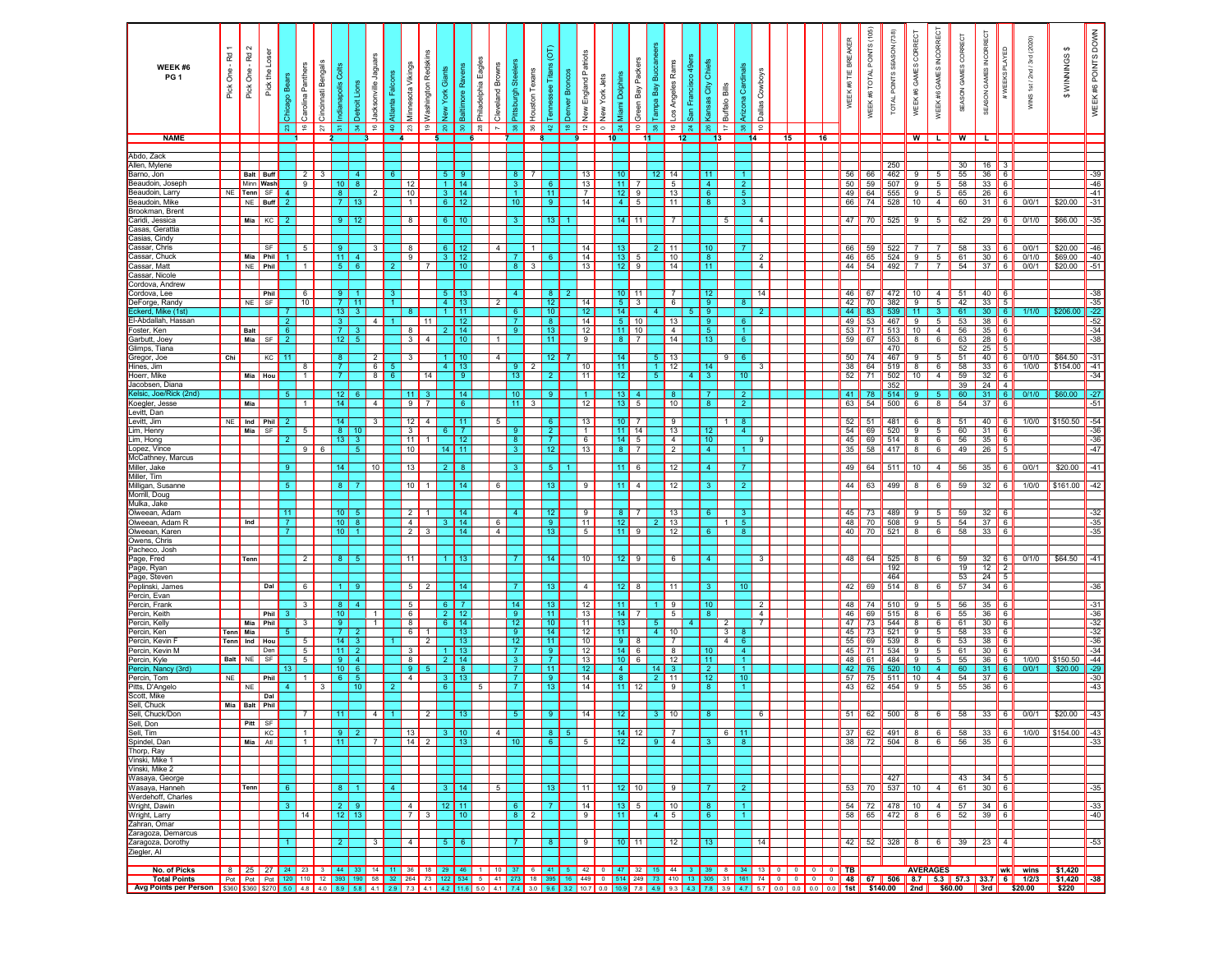| WEEK #6<br>PG <sub>1</sub>               | Pick One - Rd | Pick One - Rd 2    | Pick the Lose     | ago Bea<br>Chica<br>C<br>$\mathbb{S}^3$ | Carolina Panthers<br>$\frac{6}{5}$ | Bengals<br>Cincinnati<br>$\overline{z}$ | ී<br>siloder<br>- 忘                | Detroit Lions<br>$\frac{4}{5}$ | Jacksonville Jaguars<br>Atlanta Falo<br>9 | Minnesota Vikings<br>23<br>ę.     | Washington Redskins<br>$\frac{6}{5}$ | ants<br>ō<br>York<br>New<br>읐.   | <b>Baltimore Rave</b><br>္က         | Eagles<br>Philadelphia<br>$\mathbb{R}^2$ | Cleveland Browns<br>$\overline{ }$ | Pittsburgh Ste<br>$\frac{8}{2}$    | Houston Texans<br>36 | Tennessee Tital<br>$\mathfrak{D}$ | England Patriots<br>Bronc<br>Denver<br>New<br>$\tilde{a}$<br>₽. | New York Jets<br>$\circ$ | Miami Dolphins<br>$\frac{4}{2}$       | Green Bay Pack<br>$\epsilon$  | മ്<br>Bay<br><b>Tampa</b><br>8. | Los Angeles Rams<br>$\frac{6}{5}$         | San Francisco<br>$\frac{3}{24}$ | ర్<br>đ                | Arizona Card<br>Buffalo Bills<br>÷<br>$\frac{8}{25}$ | Dallas Cowboys<br>$\epsilon$     |                |    |                                                                                                 | WEEK #6 TIE BREAKER  | WEEK #6 TOTAL POINTS (105) | TOTAL POINTS SEASON (738) | CORRECT<br>WEEK #6 GAMES | WEEK #6 GAMES INCORRECT       | CORE<br>GAMES<br>SON | SEASON GAMES INCORRECT | #WEEKS PLAYED              | (2020)<br>WINS 1st/2nd/3rd                                                                                                                                                                                                                                                                                                                                                                         | <b>\$WINNINGS</b>         | WEEK #6 POINTS DOWN                                                                       |
|------------------------------------------|---------------|--------------------|-------------------|-----------------------------------------|------------------------------------|-----------------------------------------|------------------------------------|--------------------------------|-------------------------------------------|-----------------------------------|--------------------------------------|----------------------------------|-------------------------------------|------------------------------------------|------------------------------------|------------------------------------|----------------------|-----------------------------------|-----------------------------------------------------------------|--------------------------|---------------------------------------|-------------------------------|---------------------------------|-------------------------------------------|---------------------------------|------------------------|------------------------------------------------------|----------------------------------|----------------|----|-------------------------------------------------------------------------------------------------|----------------------|----------------------------|---------------------------|--------------------------|-------------------------------|----------------------|------------------------|----------------------------|----------------------------------------------------------------------------------------------------------------------------------------------------------------------------------------------------------------------------------------------------------------------------------------------------------------------------------------------------------------------------------------------------|---------------------------|-------------------------------------------------------------------------------------------|
| <b>NAME</b>                              |               |                    |                   |                                         |                                    |                                         |                                    |                                |                                           |                                   |                                      |                                  |                                     |                                          |                                    |                                    |                      |                                   |                                                                 |                          | 10                                    | 11                            |                                 | 12 <sub>2</sub>                           |                                 |                        |                                                      | 14                               |                | 15 | 16                                                                                              |                      |                            |                           |                          | WL                            |                      | $W$ $\Box$             |                            |                                                                                                                                                                                                                                                                                                                                                                                                    |                           |                                                                                           |
| Abdo, Zack                               |               |                    |                   |                                         |                                    |                                         |                                    |                                |                                           |                                   |                                      |                                  |                                     |                                          |                                    |                                    |                      |                                   |                                                                 |                          |                                       |                               |                                 |                                           |                                 |                        |                                                      |                                  |                |    |                                                                                                 |                      |                            |                           |                          |                               | 30                   |                        |                            |                                                                                                                                                                                                                                                                                                                                                                                                    |                           |                                                                                           |
| Allen, Mylene<br>Barno, Jon              |               | <b>Balt</b> Buff   |                   |                                         | 2                                  |                                         |                                    |                                |                                           |                                   |                                      | 51                               |                                     |                                          |                                    | 8.                                 |                      |                                   | 13                                                              |                          | $10-10$                               |                               | 12 <sub>1</sub>                 | 14                                        |                                 | 11                     |                                                      |                                  |                |    |                                                                                                 | 56                   | 66                         | 250<br>462                |                          |                               | 55                   | 16<br>36               | -6                         |                                                                                                                                                                                                                                                                                                                                                                                                    |                           | -39                                                                                       |
| Beaudoin, Joseph                         |               | Minn Wash          |                   |                                         | 9                                  |                                         | 10 I                               | -8                             |                                           | 12                                |                                      |                                  | $1 \mid 14$                         |                                          |                                    | -3.                                |                      |                                   | 13                                                              |                          | 11 <sup>1</sup>                       |                               |                                 | 5                                         |                                 | 4 <sup>1</sup>         | $\overline{2}$                                       |                                  |                |    |                                                                                                 | 50                   | 59                         | 507                       |                          | 5                             | 58                   | 33                     | 6                          |                                                                                                                                                                                                                                                                                                                                                                                                    |                           | $-46$                                                                                     |
| Beaudoin, Larry<br>Beaudoin, Mike        |               | NE Tenn<br>NE      | SF<br><b>Buff</b> |                                         |                                    |                                         | -8<br>-71                          |                                | 2                                         | 10<br>$\overline{1}$              |                                      | 6 <sup>1</sup>                   | $3 \mid 14$                         |                                          |                                    | 10                                 |                      | 11<br>-9.                         | $\overline{7}$<br>14                                            |                          | $12$ 9<br>4 I                         | 5                             |                                 | 13<br>11                                  |                                 | - 6<br>-8              | $-5$<br>-3                                           |                                  |                |    |                                                                                                 | 49<br>66             | 64<br>74                   | 555<br>528                | 9<br>10                  | $5^{\circ}$<br>$\overline{4}$ | 65<br>60             | 26<br>31               | 6 <sup>6</sup><br>$6 \mid$ | 0/0/1                                                                                                                                                                                                                                                                                                                                                                                              | \$20.00                   | $-41$<br>$-31$                                                                            |
| Brookman, Brent                          |               |                    |                   |                                         |                                    |                                         |                                    |                                |                                           |                                   |                                      |                                  |                                     |                                          |                                    |                                    |                      |                                   |                                                                 |                          |                                       |                               |                                 |                                           |                                 |                        |                                                      |                                  |                |    |                                                                                                 |                      |                            |                           |                          |                               |                      |                        |                            |                                                                                                                                                                                                                                                                                                                                                                                                    |                           |                                                                                           |
| Caridi, Jessica                          |               | Mia                | KC                |                                         |                                    |                                         | 9 <sup>1</sup>                     |                                |                                           | 8                                 |                                      | 6 <sup>1</sup>                   |                                     |                                          |                                    |                                    |                      | 13 <sup>1</sup>                   |                                                                 |                          |                                       | $14$ 11                       |                                 | $\overline{7}$                            |                                 |                        | 5                                                    | 4                                |                |    |                                                                                                 | 47                   | 70                         | 525                       | 9                        | 5                             | 62                   | 29                     | 6                          | 0/1/0                                                                                                                                                                                                                                                                                                                                                                                              | \$66.00                   | $-35$                                                                                     |
| Casas, Gerattia<br>Casias, Cindy         |               |                    |                   |                                         |                                    |                                         |                                    |                                |                                           |                                   |                                      |                                  |                                     |                                          |                                    |                                    |                      |                                   |                                                                 |                          |                                       |                               |                                 |                                           |                                 |                        |                                                      |                                  |                |    |                                                                                                 |                      |                            |                           |                          |                               |                      |                        |                            |                                                                                                                                                                                                                                                                                                                                                                                                    |                           |                                                                                           |
| Cassar, Chris                            |               |                    | SF                |                                         | 5                                  |                                         | 9 <sup>°</sup>                     |                                | 3                                         | 8                                 |                                      | $6 \mid$                         | 12                                  |                                          | $\overline{4}$                     |                                    |                      |                                   | 14                                                              |                          | 13 <sup>1</sup>                       |                               |                                 | 11                                        |                                 | 10 <sub>1</sub>        |                                                      |                                  |                |    |                                                                                                 | 66                   | 59                         | 522                       |                          | 7                             | 58                   | 33                     | -6                         | 0/0/1                                                                                                                                                                                                                                                                                                                                                                                              | \$20.00                   | $-46$                                                                                     |
| Cassar, Chuck                            |               | Mia Phil           | Phil              |                                         |                                    |                                         | 11                                 | 4                              |                                           | $\overline{9}$                    |                                      | 3 <sup>1</sup>                   | 12                                  |                                          |                                    |                                    |                      | -6                                | 14                                                              |                          | 13                                    | 5                             |                                 | 10                                        |                                 | 8 <sup>°</sup>         |                                                      |                                  | $\overline{2}$ |    |                                                                                                 | 46                   | 65                         | 524                       | 9                        | $5\overline{5}$               | 61                   | 30                     | 6                          | 0/1/0                                                                                                                                                                                                                                                                                                                                                                                              | \$69.00                   | $-40$                                                                                     |
| ≿assar, Matt<br>Cassar, Nicole           |               | <b>NE</b>          |                   |                                         |                                    |                                         | -51                                |                                |                                           |                                   |                                      |                                  |                                     |                                          |                                    | 8                                  | 3                    |                                   | 13                                                              |                          | 12                                    | 9                             |                                 | 14                                        |                                 | 11 <sub>1</sub>        |                                                      |                                  | $\overline{4}$ |    |                                                                                                 | 44                   | 54                         | 492                       |                          | $\overline{7}$                | 54                   | 37                     | 6                          | 0/0/1                                                                                                                                                                                                                                                                                                                                                                                              | \$20.00                   | $-51$                                                                                     |
| ordova, Andrew                           |               |                    |                   |                                         |                                    |                                         |                                    |                                |                                           |                                   |                                      |                                  |                                     |                                          |                                    |                                    |                      |                                   |                                                                 |                          |                                       |                               |                                 |                                           |                                 |                        |                                                      |                                  |                |    |                                                                                                 |                      |                            |                           |                          |                               |                      |                        |                            |                                                                                                                                                                                                                                                                                                                                                                                                    |                           |                                                                                           |
| ordova, Lee<br>DeForge, Randy            |               | NE                 | Phil<br>SF        |                                         | 6<br>10                            |                                         | 9<br>$\vert 7 \vert$               | 11                             |                                           |                                   |                                      | 5.<br>4 I                        | -13<br>13                           |                                          |                                    |                                    |                      | -8<br>12                          | 14                                                              |                          | 10 <sup>1</sup><br>5 <sub>1</sub>     | 11<br>$\overline{\mathbf{3}}$ |                                 | -7<br>6                                   |                                 | -12<br>9               |                                                      |                                  | 14             |    |                                                                                                 | 46<br>42             | 67<br>70                   | 472<br>382                | 10<br>9                  | $\overline{4}$<br>5           | 51<br>42             | 40<br>33               | $\overline{5}$             |                                                                                                                                                                                                                                                                                                                                                                                                    |                           | $-38$<br>$-35$                                                                            |
| Eckerd, Mike (1st                        |               |                    |                   |                                         |                                    |                                         | 13 <sub>1</sub>                    |                                |                                           |                                   |                                      |                                  | 11                                  |                                          |                                    |                                    |                      | 10 <sub>1</sub>                   | 12                                                              |                          | 14                                    |                               |                                 |                                           |                                 | 9                      |                                                      |                                  |                |    |                                                                                                 | 44                   | 83                         | 539                       | 11                       |                               | 61                   | 30 <sub>o</sub>        | $\overline{6}$             | 1/1/0                                                                                                                                                                                                                                                                                                                                                                                              | \$206.00                  | $-22$                                                                                     |
| -I-Abdallah, Hassar                      |               |                    |                   |                                         |                                    |                                         | $\mathbf{3}$                       |                                | 4                                         |                                   |                                      |                                  | 12                                  |                                          |                                    |                                    |                      | 8 <sub>1</sub>                    | 14                                                              |                          | 5 <sub>1</sub>                        | 10                            |                                 | 13                                        | -9                              |                        | -6                                                   |                                  |                |    |                                                                                                 | 49                   | 53                         | 467                       | 9                        | 5                             | 53                   | 38                     | $6\overline{6}$            |                                                                                                                                                                                                                                                                                                                                                                                                    |                           | $-52$                                                                                     |
| <sup>:</sup> oster, Ken<br>Garbutt, Joey |               | <b>Balt</b><br>Mia | SF                | 6 <sup>1</sup><br>$\overline{2}$        |                                    |                                         | $\overline{7}$<br>12               | 3<br>$5 -$                     |                                           | 8<br>3 <sup>1</sup>               | $\overline{4}$                       |                                  | $2 \mid 14$<br>10                   |                                          | $\overline{1}$                     | -9                                 |                      | 13<br>11                          | 12<br>9                                                         |                          | 11<br>8                               | 10<br>$\overline{7}$          |                                 | $\overline{4}$<br>14                      |                                 | 5 <sup>5</sup><br>13   | $\overline{1}$<br>6                                  |                                  |                |    |                                                                                                 | 53<br>59             | 71<br>67                   | 513<br>553                | 10<br>8                  | $\overline{4}$<br>6           | 56<br>63             | 35<br>28               | 6<br>6                     |                                                                                                                                                                                                                                                                                                                                                                                                    |                           | $-34$<br>$-38$                                                                            |
| Glimps, Tiana                            |               |                    |                   |                                         |                                    |                                         |                                    |                                |                                           |                                   |                                      |                                  |                                     |                                          |                                    |                                    |                      |                                   |                                                                 |                          |                                       |                               |                                 |                                           |                                 |                        |                                                      |                                  |                |    |                                                                                                 |                      |                            | 470                       |                          |                               | 52                   | 25                     | $\sqrt{5}$                 |                                                                                                                                                                                                                                                                                                                                                                                                    |                           |                                                                                           |
| Gregor, Joe<br>Hines, Jim                | Chi           |                    | KC                | 11                                      | 8                                  |                                         | 8 <sup>°</sup><br>$\overline{7}$   |                                | $\overline{2}$<br>6                       | 3                                 |                                      | $\overline{4}$                   | 13                                  |                                          | $\overline{4}$                     |                                    | 2                    | 12                                | 10                                                              |                          | 14<br>11                              |                               |                                 | 13<br>12                                  | 14                              |                        |                                                      |                                  |                |    |                                                                                                 | 50<br>38             | 74<br>64                   | 467<br>519                | 8                        | 5<br>6                        | 51<br>58             | 40<br>33               | 6<br>$6\overline{6}$       | 0/1/0<br>1/0/0                                                                                                                                                                                                                                                                                                                                                                                     | \$64.50<br>\$154.00       | $-31$<br>$-41$                                                                            |
| Hoerr, Mike                              |               | Mia Hou            |                   |                                         | $\mathbf{1}$                       |                                         | $\overline{7}$                     |                                | $^{\circ}$<br>-6                          |                                   | 14                                   |                                  | -9                                  |                                          |                                    | 13                                 |                      | $\overline{2}$                    | 11                                                              |                          | 12 <sup>7</sup>                       |                               | -5.                             |                                           | $\overline{4}$                  |                        | 10                                                   |                                  |                |    |                                                                                                 | 52                   | 71                         | 502                       | 10                       | 4                             | 59                   | 32                     | 6                          |                                                                                                                                                                                                                                                                                                                                                                                                    |                           | $-34$                                                                                     |
| Jacobsen, Diana                          |               |                    |                   |                                         |                                    |                                         |                                    |                                |                                           |                                   |                                      |                                  |                                     |                                          |                                    |                                    |                      |                                   |                                                                 |                          |                                       |                               |                                 |                                           |                                 |                        |                                                      |                                  |                |    |                                                                                                 |                      |                            | 352                       |                          |                               | 39                   |                        | $24$ 4                     |                                                                                                                                                                                                                                                                                                                                                                                                    |                           |                                                                                           |
| (elsic, Joe/Rick (2nd)<br>Koegler, Jesse |               | Mia                |                   |                                         |                                    |                                         | 12<br>14                           |                                | $\overline{4}$                            | 11 <sup>1</sup><br>9 <sup>1</sup> | -7                                   |                                  | 14<br>6 <sup>6</sup>                |                                          |                                    | 10 <sup>°</sup><br>11 <sup>1</sup> | 3                    | 9                                 | 1<br>12                                                         |                          | 13 <sup>1</sup><br>13                 | $\overline{4}$<br>5           |                                 | -8<br>$ 10\rangle$                        |                                 | -7<br>-8               | -2<br>$\overline{2}$                                 |                                  |                |    |                                                                                                 | 41<br>63             | -78<br>54                  | 514<br>500                | 6                        | 8                             | 60<br>54             | 31<br>37               | -6<br>- 6                  | 0/1/0                                                                                                                                                                                                                                                                                                                                                                                              | \$60.00                   | $-27$<br>$-51$                                                                            |
| Levitt, Dan                              |               |                    |                   |                                         |                                    |                                         |                                    |                                |                                           |                                   |                                      |                                  |                                     |                                          |                                    |                                    |                      |                                   |                                                                 |                          |                                       |                               |                                 |                                           |                                 |                        |                                                      |                                  |                |    |                                                                                                 |                      |                            |                           |                          |                               |                      |                        |                            |                                                                                                                                                                                                                                                                                                                                                                                                    |                           |                                                                                           |
| Levitt, Jim<br>Lim, Henry                | <b>NE</b>     | Ind Phil           |                   |                                         |                                    |                                         | 14<br>-81                          |                                | 3                                         | 12 <sub>1</sub>                   | $\overline{4}$                       |                                  | -11                                 |                                          | -5                                 |                                    |                      | - 6                               | 13                                                              |                          | 10 <sup>1</sup>                       | -7                            |                                 | 9<br>13                                   |                                 |                        | - 8<br>$\overline{4}$                                |                                  |                |    |                                                                                                 | 52<br>54             | 51                         | 481                       | 6                        | 8                             | 51                   | 40                     | - 6                        | 1/0/0                                                                                                                                                                                                                                                                                                                                                                                              | \$150.50                  | $-54$                                                                                     |
| Lim, Hong                                |               | Mia                | SF                |                                         | 5                                  |                                         | - 13                               | -3.                            |                                           | $\mathbf{3}$<br>11                |                                      |                                  | $\blacksquare$ 12                   |                                          |                                    | -9.<br>-8                          |                      | $\overline{2}$<br>-7 -            | $\mathbf{1}$<br>6                                               |                          | $11$ 14<br>$14 \overline{\smash{)}5}$ |                               |                                 | $\overline{4}$                            |                                 | -12<br>10 <sup>°</sup> |                                                      | -9                               |                |    |                                                                                                 | 45                   | 69<br>69                   | 520<br>514                | 9<br>8                   | 5 <sub>5</sub><br>6           | 60<br>56             | 31<br>35               | 6<br>$\overline{6}$        |                                                                                                                                                                                                                                                                                                                                                                                                    |                           | $-36$<br>$-36$                                                                            |
| Lopez, Vince                             |               |                    |                   |                                         | 9                                  | - 6                                     |                                    | 5                              |                                           | 10                                |                                      |                                  | 14   11                             |                                          |                                    | -3.                                |                      | 12                                | 13                                                              |                          | 8 <sub>1</sub>                        | $\overline{7}$                |                                 | $\overline{2}$                            |                                 | -4                     |                                                      |                                  |                |    |                                                                                                 | 35                   | 58                         | 417                       | 8                        | 6                             | 49                   | 26                     | 5                          |                                                                                                                                                                                                                                                                                                                                                                                                    |                           | $-47$                                                                                     |
| McCathney, Marcus<br>Miller, Jake        |               |                    |                   | 9.                                      |                                    |                                         | 14                                 |                                | 10                                        | 13                                |                                      |                                  | 218                                 |                                          |                                    |                                    |                      | 5 <sup>1</sup>                    |                                                                 |                          | 11                                    | 6                             |                                 | 12                                        |                                 | 4                      |                                                      |                                  |                |    |                                                                                                 | 49                   | 64                         | 511                       | 10 <sup>1</sup>          | 4                             | 56                   | 35                     | 6                          | 0/0/1                                                                                                                                                                                                                                                                                                                                                                                              | \$20.00                   | $-41$                                                                                     |
| Miller, Tim                              |               |                    |                   |                                         |                                    |                                         |                                    |                                |                                           |                                   |                                      |                                  |                                     |                                          |                                    |                                    |                      |                                   |                                                                 |                          |                                       |                               |                                 |                                           |                                 |                        |                                                      |                                  |                |    |                                                                                                 |                      |                            |                           |                          |                               |                      |                        |                            |                                                                                                                                                                                                                                                                                                                                                                                                    |                           |                                                                                           |
| Milligan, Susanne<br>Morrill, Doug       |               |                    |                   | 5.                                      |                                    |                                         | 8 <sup>1</sup>                     |                                |                                           | 10 <sup>1</sup>                   |                                      |                                  | 14                                  |                                          | 6                                  |                                    |                      | 13                                | 9                                                               |                          | 11 <sup>1</sup>                       | $\overline{4}$                |                                 | 12                                        |                                 |                        | $\mathbf{2}$                                         |                                  |                |    |                                                                                                 | 44                   | 63                         | 499                       | 8                        | 6                             | 59                   | 32                     | 6                          | 1/0/0                                                                                                                                                                                                                                                                                                                                                                                              | \$161.00                  | $-42$                                                                                     |
| Mulka, Jake                              |               |                    |                   |                                         |                                    |                                         |                                    |                                |                                           |                                   |                                      |                                  |                                     |                                          |                                    |                                    |                      |                                   |                                                                 |                          |                                       |                               |                                 |                                           |                                 |                        |                                                      |                                  |                |    |                                                                                                 |                      |                            |                           |                          |                               |                      |                        |                            |                                                                                                                                                                                                                                                                                                                                                                                                    |                           |                                                                                           |
| Olweean, Adam<br>Olweean, Adam R         |               | Ind                |                   | 11 <sub>1</sub><br>-7                   |                                    |                                         | 10 <sup>1</sup><br>10 <sup>1</sup> | 5.<br>-8                       |                                           | $\overline{2}$<br>$\overline{4}$  |                                      |                                  | 14<br>14                            |                                          | 6                                  |                                    |                      | 12 <sub>1</sub><br>9              | 9<br>11                                                         |                          | 8 <sup>1</sup><br>12                  | -7                            |                                 | 13<br>13                                  |                                 |                        | 3<br>$-5$<br>$\mathbf{1}$                            |                                  |                |    |                                                                                                 | 45<br>48             | 73<br>70                   | 489<br>508                | 9<br>9                   | 5<br>5 <sub>5</sub>           | 59<br>54             | 32                     | 6<br>I 6                   |                                                                                                                                                                                                                                                                                                                                                                                                    |                           | $-32$<br>$-35$                                                                            |
| Olweean, Karen                           |               |                    |                   |                                         |                                    |                                         | 10                                 |                                |                                           | 2 <sup>1</sup>                    | 3                                    |                                  | 14                                  |                                          | $\overline{4}$                     |                                    |                      | 13                                | $5\overline{5}$                                                 |                          | 11 <sup>1</sup>                       | 9                             |                                 | 12                                        |                                 |                        |                                                      |                                  |                |    |                                                                                                 | 40                   | 70                         | 521                       | 8                        | 6                             | 58                   | 37<br>33               | 6                          |                                                                                                                                                                                                                                                                                                                                                                                                    |                           | $-35$                                                                                     |
| Owens, Chris                             |               |                    |                   |                                         |                                    |                                         |                                    |                                |                                           |                                   |                                      |                                  |                                     |                                          |                                    |                                    |                      |                                   |                                                                 |                          |                                       |                               |                                 |                                           |                                 |                        |                                                      |                                  |                |    |                                                                                                 |                      |                            |                           |                          |                               |                      |                        |                            |                                                                                                                                                                                                                                                                                                                                                                                                    |                           |                                                                                           |
| <u>Pacheco, Josh</u><br>Page, Fred       |               | Tenn               |                   |                                         | $\overline{2}$                     |                                         | $\mathbf{R}$                       | -5                             |                                           | 11                                |                                      |                                  |                                     |                                          |                                    |                                    |                      | 14                                | 10                                                              |                          | 12 <sup>1</sup>                       | 9                             |                                 | 6                                         |                                 |                        |                                                      | $\mathbf{3}$                     |                |    |                                                                                                 | 48                   | 64                         | 525                       | 8                        | 6                             | 59                   | 32                     | 6                          | 0/1/0                                                                                                                                                                                                                                                                                                                                                                                              | \$64.50                   | $-41$                                                                                     |
| <sup>o</sup> age, Ryan                   |               |                    |                   |                                         |                                    |                                         |                                    |                                |                                           |                                   |                                      |                                  |                                     |                                          |                                    |                                    |                      |                                   |                                                                 |                          |                                       |                               |                                 |                                           |                                 |                        |                                                      |                                  |                |    |                                                                                                 |                      |                            | 192                       |                          |                               | 19                   | 12                     | $\sqrt{2}$                 |                                                                                                                                                                                                                                                                                                                                                                                                    |                           |                                                                                           |
| Page, Steven<br>Peplinski,<br>Jame       |               |                    | Dal               |                                         |                                    |                                         |                                    |                                |                                           | 5                                 | $\overline{2}$                       |                                  |                                     |                                          |                                    |                                    |                      | 13                                | $\overline{4}$                                                  |                          | 12 <sup>2</sup>                       | 8                             |                                 | 11                                        |                                 |                        | 10                                                   |                                  |                |    |                                                                                                 | 42                   | 69                         | 464<br>514                |                          |                               | 53<br>57             | 34                     | $24$ 5<br>6                |                                                                                                                                                                                                                                                                                                                                                                                                    |                           | $-36$                                                                                     |
| <sup>p</sup> ercin, Evan                 |               |                    |                   |                                         |                                    |                                         |                                    |                                |                                           |                                   |                                      |                                  |                                     |                                          |                                    |                                    |                      |                                   |                                                                 |                          |                                       |                               |                                 |                                           |                                 |                        |                                                      |                                  |                |    |                                                                                                 |                      |                            |                           |                          |                               |                      |                        |                            |                                                                                                                                                                                                                                                                                                                                                                                                    |                           |                                                                                           |
| Percin, Frank<br>Percin, Keith           |               |                    | Phil              |                                         |                                    |                                         | -8<br>10                           |                                |                                           | 5<br>6                            |                                      | 6 <sup>1</sup><br>2 <sup>1</sup> | 12                                  |                                          |                                    | 14<br>-9                           |                      | 13<br>11                          | 12<br>13                                                        |                          | 11<br>14                              |                               |                                 | 9<br>5                                    |                                 | 10<br>-8               |                                                      | $\overline{2}$<br>$\overline{4}$ |                |    |                                                                                                 | 48<br>46             | 74<br>69                   | 510<br>515                |                          | 6                             | 56<br>55             | 35<br>36               | -6<br>6                    |                                                                                                                                                                                                                                                                                                                                                                                                    |                           | $-31$                                                                                     |
| Percin, Kelly                            |               | Mia                | Phil              |                                         |                                    |                                         | -9                                 |                                | 1                                         | 8                                 |                                      |                                  | $6 \mid 14$                         |                                          |                                    | 12                                 |                      | 10 <sup>°</sup>                   | 11                                                              |                          | 13                                    |                               | 5.                              |                                           | 4                               |                        | $\overline{2}$                                       |                                  | $\overline{7}$ |    |                                                                                                 | 47                   | 73                         | 544                       |                          | 6                             | 61                   | 30                     | 6                          |                                                                                                                                                                                                                                                                                                                                                                                                    |                           |                                                                                           |
| Percin, Ken                              | Tenn          | Mia                |                   |                                         |                                    |                                         | -7                                 |                                |                                           | 6 <sup>1</sup>                    |                                      |                                  | 13                                  |                                          |                                    | -9                                 |                      | 14                                | 12                                                              |                          | 11                                    |                               | $4 \mid 10$                     |                                           |                                 |                        | $3 \mid$<br>- 8                                      |                                  |                |    |                                                                                                 | 45                   | 73                         | 521                       |                          | 5                             | 58                   | 33                     | 6                          |                                                                                                                                                                                                                                                                                                                                                                                                    |                           |                                                                                           |
| Percin, Kevin F<br>Percin, Kevin M       | <b>Tenn</b>   | Ind Hou            | Den               |                                         | -5<br>5                            |                                         | 14 <sup>1</sup><br>-11 L           | -2.                            |                                           | 3                                 |                                      |                                  | 13<br>1   13                        |                                          |                                    | 12                                 |                      | 11<br>-9                          | 10<br>12                                                        |                          | 9<br>$14 \mid 6$                      | - 8                           |                                 | $\overline{7}$<br>$\overline{\mathbf{8}}$ |                                 | -10                    | $4 \mid 6$<br>$\overline{4}$                         |                                  |                |    |                                                                                                 | 55<br>45             | 69<br>71                   | 539<br>534                |                          | 6<br>5                        | 53<br>61             | 38<br>30 <sup>7</sup>  | 6<br>6 <sup>6</sup>        |                                                                                                                                                                                                                                                                                                                                                                                                    |                           | $\begin{array}{r}\n 36 \\ -32 \\ \hline\n 32 \\ \hline\n 36 \\ \hline\n 44\n \end{array}$ |
| Percin, Kyle                             |               | <b>Balt</b> NE     | SF                |                                         | $5\overline{5}$                    |                                         | -91                                | $\overline{4}$                 |                                           | 8                                 |                                      | 2 <sub>1</sub>                   | -14                                 |                                          |                                    | $\mathbf{3}$                       |                      | $\mathbf{7}$                      | 13                                                              |                          | 10                                    | 6                             |                                 | 12                                        |                                 | 11 <sub>1</sub>        | $\overline{1}$                                       |                                  |                |    |                                                                                                 | 48                   | 61                         | 484                       |                          | 5                             | 55                   | 36                     | $6 \mid$                   | 1/0/0                                                                                                                                                                                                                                                                                                                                                                                              | \$150.50                  | $-44$                                                                                     |
| Percin, Nancy (3rd<br>Percin, Tom        | NE            |                    | Phil              |                                         |                                    |                                         | 10 <sup>1</sup><br>-6              | -6<br>5.                       |                                           | 9 <sup>1</sup><br>$\overline{4}$  |                                      |                                  | 8<br>$3 \mid 13$                    |                                          |                                    | $\overline{7}$                     |                      | 11<br>-9                          | 12<br>14                                                        |                          | 4 I<br>8 <sup>1</sup>                 |                               | $14 \mid 3$<br>2.               | 11                                        |                                 | -2<br>12 <sub>2</sub>  | $\overline{1}$<br>10 <sub>1</sub>                    |                                  |                |    |                                                                                                 | 42<br>$57 \parallel$ | 76<br>75                   | 520<br>511                | 10<br>10                 | $\overline{4}$                | 60<br>54             | 31<br>37               | $6^{\circ}$<br>6           | 0/0/1                                                                                                                                                                                                                                                                                                                                                                                              | \$20.00                   | $-29$<br>$-30$                                                                            |
| Pitts, D'Angelo                          |               | NE                 |                   |                                         |                                    | 3                                       |                                    | 10                             |                                           |                                   |                                      | 6 <sup>1</sup>                   |                                     | 5                                        |                                    |                                    |                      | 13                                | 14                                                              |                          | 11                                    | 12                            |                                 | 9                                         |                                 | 8                      | $\sim$                                               |                                  |                |    |                                                                                                 | 43                   | 62                         | 454                       | 9                        | $5^{\circ}$                   | 55                   | 36                     | 6                          |                                                                                                                                                                                                                                                                                                                                                                                                    |                           | $-43$                                                                                     |
| Scott, Mike<br>Sell, Chuck               |               | Mia Balt           | Dal<br>Phil       |                                         |                                    |                                         |                                    |                                |                                           |                                   |                                      |                                  |                                     |                                          |                                    |                                    |                      |                                   |                                                                 |                          |                                       |                               |                                 |                                           |                                 |                        |                                                      |                                  |                |    |                                                                                                 |                      |                            |                           |                          |                               |                      |                        |                            |                                                                                                                                                                                                                                                                                                                                                                                                    |                           |                                                                                           |
| Sell, Chuck/Don                          |               |                    |                   |                                         |                                    |                                         | 11                                 |                                | 4                                         |                                   | $\overline{2}$                       |                                  |                                     |                                          |                                    |                                    |                      | 9 <sub>o</sub>                    | 14                                                              |                          | 12 <sup>1</sup>                       |                               | 3 I                             | 10                                        |                                 |                        |                                                      |                                  | 6              |    |                                                                                                 | 51                   | 62                         | 500                       | 8                        | 6                             | 58                   | 33                     | $6 \mid$                   | 0/0/1                                                                                                                                                                                                                                                                                                                                                                                              | \$20.00                   | -43                                                                                       |
| sell. Don                                |               | ۲ιπ                | -SF               |                                         |                                    |                                         |                                    |                                |                                           |                                   |                                      |                                  |                                     |                                          |                                    |                                    |                      |                                   |                                                                 |                          |                                       |                               |                                 |                                           |                                 |                        |                                                      |                                  |                |    |                                                                                                 |                      |                            |                           |                          |                               |                      |                        |                            |                                                                                                                                                                                                                                                                                                                                                                                                    |                           |                                                                                           |
| Sell, Tim<br>Spindel, Dan                |               | Mia                | KC<br>Atl         |                                         | $\overline{1}$<br>$\overline{1}$   |                                         | 9<br> 11                           | $\vert$ 2 $\vert$              |                                           | 13<br>14                          | $\overline{2}$                       |                                  | $3 \mid 10 \mid$<br>13 <sup>°</sup> |                                          | $\overline{4}$                     | 10 <sup>°</sup>                    |                      | 8 <sup>1</sup><br>6 <sup>1</sup>  | 5<br>5                                                          |                          | $14$ 12<br>12 <sup>1</sup>            |                               | 9 <sub>1</sub>                  | $\blacksquare$<br>$\overline{4}$          |                                 |                        | $6$ 11<br>8                                          |                                  |                |    |                                                                                                 |                      | 38   72                    | 37 62 491 8<br> 504       | 8                        | $6 \vert$<br>$6\overline{6}$  | 56                   | 58 33 6<br>35          | $\overline{6}$             | 1/0/0                                                                                                                                                                                                                                                                                                                                                                                              | $\frac{1}{1}$ \$154.00 43 | $-33$                                                                                     |
| Thorp, Ray                               |               |                    |                   |                                         |                                    |                                         |                                    |                                |                                           |                                   |                                      |                                  |                                     |                                          |                                    |                                    |                      |                                   |                                                                 |                          |                                       |                               |                                 |                                           |                                 |                        |                                                      |                                  |                |    |                                                                                                 |                      |                            |                           |                          |                               |                      |                        |                            |                                                                                                                                                                                                                                                                                                                                                                                                    |                           |                                                                                           |
| Vinski, Mike 1<br>Vinski, Mike 2         |               |                    |                   |                                         |                                    |                                         |                                    |                                |                                           |                                   |                                      |                                  |                                     |                                          |                                    |                                    |                      |                                   |                                                                 |                          |                                       |                               |                                 |                                           |                                 |                        |                                                      |                                  |                |    |                                                                                                 |                      |                            |                           |                          |                               |                      |                        |                            |                                                                                                                                                                                                                                                                                                                                                                                                    |                           |                                                                                           |
| Wasaya, George                           |               |                    |                   |                                         |                                    |                                         |                                    |                                |                                           |                                   |                                      |                                  |                                     |                                          |                                    |                                    |                      |                                   |                                                                 |                          |                                       |                               |                                 |                                           |                                 |                        |                                                      |                                  |                |    |                                                                                                 |                      |                            | 427                       |                          |                               | 43                   |                        | $34$ 5                     |                                                                                                                                                                                                                                                                                                                                                                                                    |                           |                                                                                           |
| Wasaya, Hanneh<br>Werdehoff, Charles     |               | Tenn               |                   | 6 <sup>1</sup>                          |                                    |                                         | -8 I                               | $\sim$                         | $\overline{A}$                            |                                   |                                      |                                  | $3 \mid 14$                         |                                          | 5 <sup>5</sup>                     |                                    |                      | 13                                | 11                                                              |                          | $12$ 10                               |                               |                                 | $\overline{9}$                            |                                 | $\overline{7}$         | $\overline{2}$                                       |                                  |                |    |                                                                                                 |                      |                            | 53 70 537                 | 10                       | $\overline{4}$                | 61                   |                        | $30 \mid 6$                |                                                                                                                                                                                                                                                                                                                                                                                                    |                           | $-35$                                                                                     |
| Wright, Dawin                            |               |                    |                   | -3-1                                    |                                    |                                         | $29$                               |                                |                                           | 4                                 |                                      |                                  | $12$ 11                             |                                          |                                    | 6 <sup>1</sup>                     |                      | $\overline{7}$                    | 14                                                              |                          |                                       |                               |                                 | $\sqrt{10}$                               |                                 | -8                     | $-1$                                                 |                                  |                |    |                                                                                                 |                      |                            | 54 72 478                 | 10                       | $\overline{4}$                | 57                   |                        | $34 \mid 6$                |                                                                                                                                                                                                                                                                                                                                                                                                    |                           | $-33$                                                                                     |
| Wright, Larry                            |               |                    |                   |                                         | 14                                 |                                         | $12$ 13                            |                                |                                           | 7 <sup>1</sup>                    | $\mathbf{3}$                         |                                  | 10 <sup>10</sup>                    |                                          |                                    | 8 <sup>1</sup>                     | 2                    |                                   | 9                                                               |                          | 11                                    |                               | $4 \mid 5$                      |                                           |                                 | 6 <sup>°</sup>         | $\vert$ 1                                            |                                  |                |    |                                                                                                 |                      | 58 65 472                  |                           | 8                        | 6                             | 52                   |                        | $39 \mid 6$                |                                                                                                                                                                                                                                                                                                                                                                                                    |                           | $-40$                                                                                     |
| Zahran, Omar<br>Zaragoza, Demarcus       |               |                    |                   |                                         |                                    |                                         |                                    |                                |                                           |                                   |                                      |                                  |                                     |                                          |                                    |                                    |                      |                                   |                                                                 |                          |                                       |                               |                                 |                                           |                                 |                        |                                                      |                                  |                |    |                                                                                                 |                      |                            |                           |                          |                               |                      |                        |                            |                                                                                                                                                                                                                                                                                                                                                                                                    |                           |                                                                                           |
| Zaragoza, Dorothy                        |               |                    |                   | $\blacktriangleleft$                    |                                    |                                         | 2 <sup>7</sup>                     |                                | $\mathbf{3}$                              | $\overline{4}$                    |                                      |                                  | $5 \mid 6$                          |                                          |                                    | $\overline{7}$                     |                      | -8                                | 9                                                               |                          | $10$ 11                               |                               |                                 | 12                                        |                                 | 13                     |                                                      |                                  | 14             |    |                                                                                                 |                      |                            | 42 52 328                 | 8                        | 6                             | 39 <b>B</b>          |                        | $23 \parallel 4$           |                                                                                                                                                                                                                                                                                                                                                                                                    |                           | $-53$                                                                                     |
| Ziegler, Al                              |               |                    |                   |                                         |                                    |                                         |                                    |                                |                                           |                                   |                                      |                                  |                                     |                                          |                                    |                                    |                      |                                   |                                                                 |                          |                                       |                               |                                 |                                           |                                 |                        |                                                      |                                  |                |    |                                                                                                 |                      |                            |                           |                          |                               |                      |                        |                            |                                                                                                                                                                                                                                                                                                                                                                                                    |                           |                                                                                           |
| No. of Picks                             |               |                    |                   |                                         |                                    |                                         |                                    |                                |                                           |                                   |                                      |                                  |                                     |                                          |                                    |                                    |                      |                                   |                                                                 |                          |                                       |                               |                                 |                                           |                                 |                        |                                                      |                                  |                |    | 8 25 27 24 23 3 44 33 14 11 36 18 29 46 1 10 37 6 41 5 42 0 47 32 15 44 3 39 8 34 13 0 0 0 0 TB |                      |                            |                           |                          | <b>AVERAGES</b>               |                      |                        |                            | wk wins $\parallel$ \$1,420                                                                                                                                                                                                                                                                                                                                                                        |                           |                                                                                           |
| <b>Total Points</b>                      |               |                    |                   |                                         |                                    |                                         |                                    |                                |                                           |                                   |                                      |                                  |                                     |                                          |                                    |                                    |                      |                                   |                                                                 |                          |                                       |                               |                                 |                                           |                                 |                        |                                                      |                                  |                |    |                                                                                                 |                      |                            |                           |                          |                               |                      |                        |                            | Pot Pot Pot 120 110 12 393 190 58 32 264 73 122 534 5 41 273 18 395 16 449 0 514 249 73 410 13 305 31 161 74 0 0 0 48 57 50 57 5.3 57.3 33.7 6 1223 \$1420 38<br>Avg Points per Person   \$360   \$360   \$270   50   4.8   4.0   8.9   5.8   4.1   2.9   7.3   4.1   4.2   11.6   5.0   4.1   7.4   3.0   8.9   3.2   0.1   0.0   7.8   4.3   7.8   3.9   4.3   7.8   3.9   4.7   5.0   0.0   0.0 |                           |                                                                                           |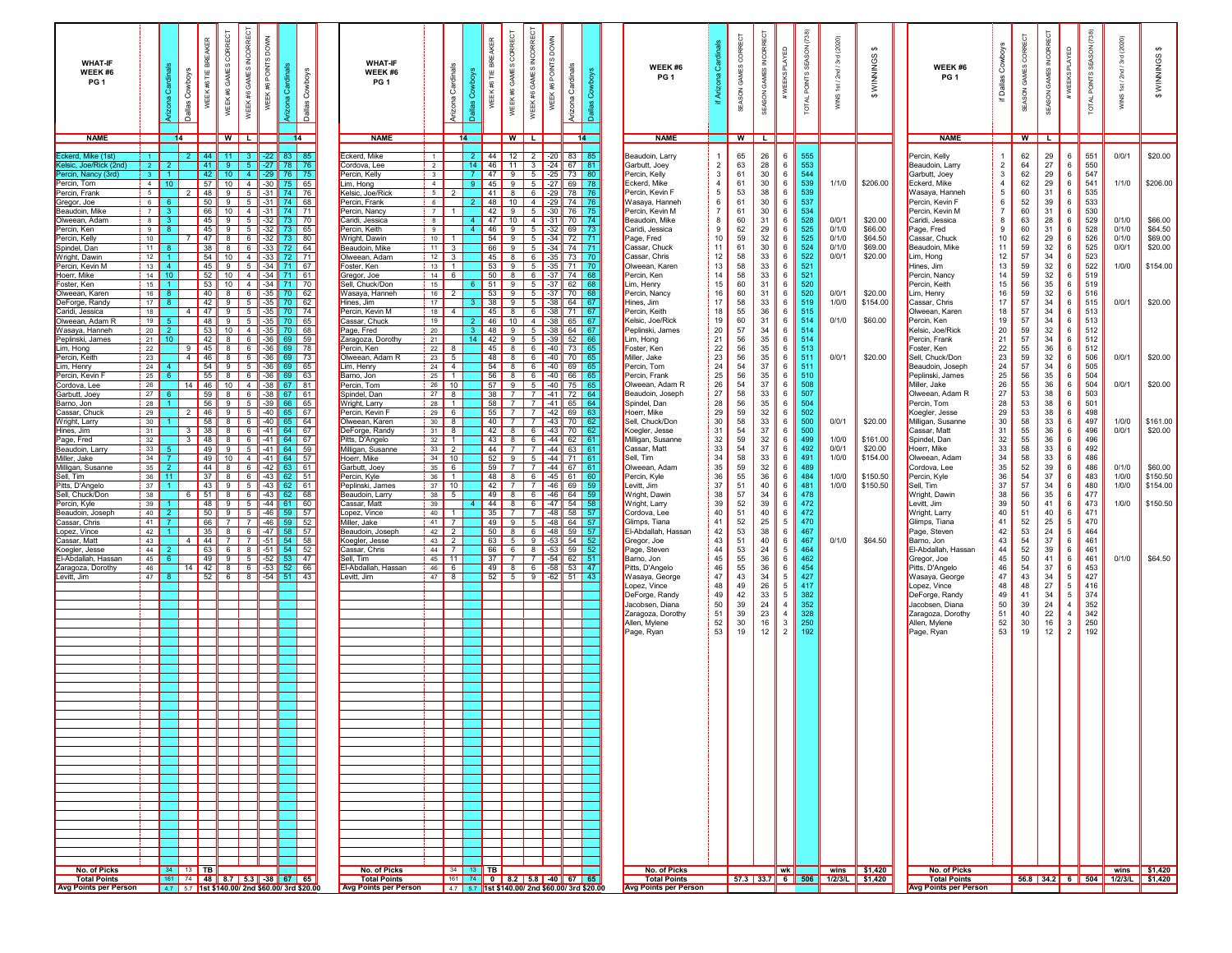| <b>WHAT-IF</b><br>WEEK#6<br>PG <sub>1</sub>  |                                         | ö                                              | <b>BREAKER</b><br>Cowboys<br>WEEK #6 TIE<br><b>Dallas</b> |                 | CORRECT<br>GAMES<br>WEEK#6                                  | GAMES INCORRECT<br>WEEK #6 | WEEK #6 POINTS DOWN  | <b>Cow</b><br>Ĉ<br>Dallas  |          | <b>WHAT-IF</b><br>WEEK#6<br>PG <sub>1</sub> |                                  | Cardinals<br>Arizona | BREAKER<br>岂<br>WEEK#6 | CORRECT<br>GAMES<br>WEEK#6  | GAMES INCORRECT<br>WEEK #6 | WEEK #6 POINTS DOWN | Cardinals<br>Arizona                                         | <b>Gow</b> | WEEK #6<br>PG <sub>1</sub>           | Ö                                       | g<br>GAMES<br><b>NGSV</b> | <b>INCORRE</b><br>GAMES<br>SEASON | 品                                  | SEASON (738)<br><b>POINTS</b><br><b>TOTAL</b> | (2020)<br>3rd<br>2nd<br>$\frac{1}{2}$<br>wing                               | $\Theta$<br>WINNINGS | WEEK #6<br>PG <sub>1</sub>           | Cowboys<br>Dallas<br>$\equiv$ | ₹ECT<br>GAMES CO<br>SEASON | <b>INCORRECT</b><br>SEASON GAMES | €                                | SEASON<br><b>POINTS</b><br><b>TOTAL</b> | (2020)<br>$\frac{1}{2}$<br>S) | $\leftrightarrow$<br>WINNINGS                                 |
|----------------------------------------------|-----------------------------------------|------------------------------------------------|-----------------------------------------------------------|-----------------|-------------------------------------------------------------|----------------------------|----------------------|----------------------------|----------|---------------------------------------------|----------------------------------|----------------------|------------------------|-----------------------------|----------------------------|---------------------|--------------------------------------------------------------|------------|--------------------------------------|-----------------------------------------|---------------------------|-----------------------------------|------------------------------------|-----------------------------------------------|-----------------------------------------------------------------------------|----------------------|--------------------------------------|-------------------------------|----------------------------|----------------------------------|----------------------------------|-----------------------------------------|-------------------------------|---------------------------------------------------------------|
| <b>NAME</b>                                  |                                         | 14                                             |                                                           |                 | WILI                                                        |                            |                      | 14                         |          | <b>NAME</b>                                 |                                  | 14                   |                        |                             | WILI                       |                     |                                                              | 14         | <b>NAME</b>                          |                                         | W                         |                                   |                                    |                                               |                                                                             |                      | <b>NAME</b>                          |                               | $W$ L                      |                                  |                                  |                                         |                               |                                                               |
| ckerd, Mike (1st)                            | $1 -$                                   |                                                | 44                                                        |                 | 11 <sub>1</sub>                                             |                            | $-22$                | 83   85                    |          | Eckerd, Mike                                | $\overline{1}$                   |                      |                        |                             |                            |                     | 44 12 2 20 83 85                                             |            | Beaudoin, Larry                      |                                         | 65                        | 26                                | 6                                  | 555                                           |                                                                             |                      | Percin, Kelly                        |                               | 62                         | 29                               | 6                                | 551                                     | 0/0/1                         | \$20.00                                                       |
| .elsic, Joe/Rick (2nd<br>Percin, Nancy (3rd) | $\sqrt{2}$<br>$\overline{\phantom{a}3}$ |                                                | 42                                                        | 41              | -9.<br>10 <sub>1</sub>                                      | 5 <sup>1</sup><br>$-4$     | $-29$                | $-27$ 78 76                |          | Cordova, Lee<br>Percin, Kelly               | $\overline{2}$<br>3              |                      | 14                     | 47<br>9                     |                            |                     | 46 11 3 24 67 81<br>$5$ $-25$ 73 80                          |            | Garbutt, Joey<br>Percin, Kelly       | $\overline{2}$<br>3                     | 63<br>61                  | 28<br>30                          | 6<br>6                             | 553<br>544                                    |                                                                             |                      | Beaudoin, Larry<br>Garbutt, Joey     | $\overline{2}$<br>3           | 64<br>62                   | 27<br>29                         | 6<br>6                           | 550<br>547                              |                               |                                                               |
| Percin. Tom<br>Percin, Frank                 | 5                                       | $4 \mid 10 \mid$                               | $\overline{2}$                                            | 48              | 57 10 4 30 75 65<br>9                                       | $5 \vert$                  | $-31$ 74             |                            | 76       | Lim, Hong<br>Kelsic, Joe/Rick               | $\overline{4}$<br>5              |                      |                        | $41$ 8                      |                            |                     | 9 45 9 5 -27 69 78<br>6 -29 78 76                            |            | Eckerd, Mike<br>Percin, Kevin F      | $\overline{4}$<br>5                     | 61<br>53                  | 30<br>38                          | 6<br>6                             | 539<br>539                                    | 1/1/0                                                                       | \$206.00             | Eckerd, Mike<br>Wasaya, Hanneh       | $\overline{4}$<br>5           | 62<br>60                   | 29<br>31                         | 6<br>6                           | 541<br>535                              | 1/1/0                         | \$206.00                                                      |
| Gregor, Joe<br>Beaudoin, Mike                | 6                                       | $7 \overline{\phantom{0}3}$                    |                                                           | 50              | $9 \mid 5 \mid$<br>66 10 4 31 74 71                         |                            | $-31$ 74             |                            | 68       | Percin, Frank<br>Percin, Nancy              | $\frac{1}{6}$<br>$\sqrt{7}$      |                      |                        |                             |                            |                     | 48 10 4 29 74 76<br>42 9 5 30 76 75                          |            | Wasaya, Hanneh<br>Percin, Kevin M    | 6<br>$\overline{7}$                     | 61<br>61                  | 30<br>30                          | 6<br>6                             | 537<br>534                                    |                                                                             |                      | Percin, Kevin F<br>Percin, Kevin M   | 6<br>$\overline{7}$           | 52<br>60                   | 39<br>31                         | 6<br>6                           | 533<br>530                              |                               |                                                               |
| Iweean, Adam<br>Percin, Ken                  | 8 <sup>1</sup><br>9 <sup>1</sup>        | 3 <sup>1</sup><br>-8                           |                                                           |                 | 45   9   5  <br>$45 \parallel 9 \parallel 5$                |                            | $-32$ 73<br>$-32$ 73 |                            | 70<br>65 | Caridi, Jessica<br>Percin, Keith            | 8<br>9                           |                      |                        | 46<br>9                     |                            |                     | 47 10 4 31 70 74<br>$5 \mid -32 \mid 69 \mid$                |            | Beaudoin, Mike<br>Caridi, Jessica    | 8<br>9                                  | 60<br>62                  | 31<br>29                          | 6<br>6                             | 528<br>525                                    | 0/0/1<br>0/1/0                                                              | \$20.00<br>\$66.00   | Caridi, Jessica<br>Page, Fred        | 8<br>9                        | 63<br>60                   | 28<br>31                         | 6<br>6                           | 529<br>528                              | 0/1/0<br>0/1/0                | \$66.00<br>\$64.50                                            |
| Percin, Kelly                                | $\frac{1}{2}$                           |                                                |                                                           |                 | 47 8 6 32 73                                                |                            |                      |                            | 80       | Wright, Dawin                               | $\blacksquare$ 10 $\blacksquare$ |                      |                        |                             |                            |                     | 54 9 5 34 72 71                                              |            | Page, Fred                           | 10                                      | 59                        | 32                                | 6                                  | 525                                           | 0/1/0                                                                       | \$64.50              | Cassar, Chuck                        | 10                            | 62                         | 29                               | 6                                | 526                                     | 0/1/0                         | \$69.00                                                       |
| Spindel, Dan<br>Wright, Dawir                | 11<br>$12$ 1                            |                                                |                                                           |                 | 38 8 6 33 72<br>54   10   4   -33   72                      |                            |                      |                            | 64<br>71 | Beaudoin, Mike<br>Olweean, Adam             | $11$ 3<br>$12$ 3                 |                      |                        |                             |                            |                     | 66 9 5 34 74 71<br>45 8 6 3 3 73 70                          |            | Cassar, Chuck<br>Cassar, Chris       | 11<br>12                                | 61<br>58                  | 30<br>33                          | 6<br>6                             | 524<br>522                                    | 0/1/0<br>0/0/1                                                              | \$69.00<br>\$20.00   | Beaudoin, Mike<br>Lim, Hong          | 11<br>12                      | 59<br>57                   | 32<br>34                         | 6<br>-6                          | 525<br>523                              | 0/0/1                         | \$20.00                                                       |
| Percin, Kevin M<br>Hoerr, Mike               |                                         | $13 \mid 4$<br>$14$ 10                         |                                                           |                 | 45   9   5   -34   71   67<br>$52$   10   4   -34   71   61 |                            |                      |                            |          | Foster, Ken<br>Gregor, Joe                  | $13$ 1<br>$14 \quad 6$           |                      |                        |                             |                            |                     | 53 9 5 3 3 71 70<br>50 8 6 37 74 68                          |            | Olweean, Karen<br>Percin, Ken        | 13<br>14                                | 58<br>58                  | $33\,$<br>$33\,$                  | 6<br>$\,6\,$                       | 521<br>521                                    |                                                                             |                      | Hines, Jim<br>Percin, Nancy          | 13<br>14                      | 59<br>59                   | 32<br>32                         | 6<br>6                           | 522<br>519                              | 1/0/0                         | \$154.00                                                      |
| Foster, Ken<br>Olweean, Karen                |                                         | $15$ 1<br>$16$ 8                               |                                                           |                 | 53   10   4   -34   71   70<br>40   8   6   -35   70   62   |                            |                      |                            |          | Sell, Chuck/Don<br>Wasaya, Hanneh           | 15<br>$16$   2                   |                      |                        |                             |                            |                     | 6 51 9 5 37 62 68<br>53 9 5 37 70 68                         |            | Lim, Henry<br>Percin, Nancy          | 15<br>16                                | 60<br>60                  | 31<br>31                          | 6<br>6                             | 520<br>520                                    | 0/0/1                                                                       | \$20.00              | Percin, Keith<br>Lim, Henry          | 15<br>$16\,$                  | 56<br>59                   | 35<br>32                         | 6<br>6                           | 519<br>516                              |                               |                                                               |
| DeForge, Randy                               | 17 <sup>1</sup><br>18                   |                                                | 4                                                         |                 | 42   9   5   -35   70   62<br>47 9 5 35 70 74               |                            |                      |                            |          | Hines, Jim<br>Percin, Kevin M               | 17 <sup>1</sup><br>$18$   4      |                      |                        |                             |                            |                     | $3$ 38 9 5 38 64 67<br>45 8 6 38 71 67                       |            | Hines, Jim<br>Percin, Keith          | 17<br>18                                | 58<br>55                  | 33<br>36                          | 6<br>6                             | 519<br>515                                    | 1/0/0                                                                       | \$154.00             | Cassar, Chris<br>Olweean. Karen      | 17<br>18                      | $57\,$<br>57               | 34<br>34                         | - 6<br>6                         | 515<br>513                              | 0/0/1                         | \$20.00                                                       |
| Caridi, Jessica<br>Olweean. Adam R           | 19                                      |                                                |                                                           |                 | 48 9 5 35 70 65                                             |                            |                      |                            |          | Cassar, Chuck                               | 19                               |                      |                        |                             |                            |                     | 46 10 4 38 65 67                                             |            | Kelsic, Joe/Rick                     | 19                                      | 60                        | 31                                | 6                                  | 514                                           | 0/1/0                                                                       | \$60.00              | Percin, Ken                          | 19                            | 57                         | 34                               | - 6                              | 513                                     |                               |                                                               |
| Wasaya, Hanneh<br>Peplinski, James           | 20<br>21                                | 10 <sup>1</sup>                                | 53<br>42                                                  |                 | 10 $4$ -35 70<br>8 6                                        |                            | $-36$ 69             | 68                         | 59       | Page, Fred<br>Zaragoza, Dorothy             | 20<br>21                         |                      |                        |                             |                            |                     | 48 9 5 38 64 67<br>14 42 9 5 39 52 66                        |            | Peplinski, James<br>Lim, Hong        | 20<br>21                                | 57<br>56                  | 34<br>35                          | 6<br>6                             | 514<br>514                                    |                                                                             |                      | Kelsic, Joe/Rick<br>Percin, Frank    | 20<br>21                      | 59<br>57                   | 32<br>34                         | 6<br>6                           | 512<br>512                              |                               |                                                               |
| Lim, Hong<br>Percin, Keith                   | 22<br>23                                |                                                | 45<br>-9<br>$\overline{4}$<br>46                          |                 | 8<br>8                                                      | $6 \mid$<br>6              | $-36$ 69<br>$-36$    | 69                         | 78<br>73 | Percin, Ken<br>Olweean, Adam R              | $22$ 8<br>$23 \mid 5$            |                      |                        | $45$ 8<br>48<br>8           |                            |                     | 6 40 73 65<br>6 40 70 65                                     |            | Foster, Ken<br>Miller, Jake          | $\begin{array}{c} 22 \\ 23 \end{array}$ | 56<br>56                  | 35<br>35                          | 6<br>6                             | 513<br>511                                    | 0/0/1                                                                       | \$20.00              | Foster, Ken<br>Sell, Chuck/Don       | 22<br>23                      | 55<br>59                   | 36<br>32                         | 6<br>6                           | 512<br>506                              | 0/0/1                         | \$20.00                                                       |
| Lim, Henry<br>Percin, Kevin                  | 24<br>25                                |                                                | 54<br>55                                                  |                 | -91<br>8                                                    | 5 <sub>5</sub><br>6        | $-36$<br>-36         |                            | 65<br>63 | Lim, Henry<br>Barno, Jon                    | $\overline{24}$ 4<br>$25$ 1      |                      |                        | $54$ 8<br>56<br>8           |                            | 6 $-40$<br>6 $-40$  | 66                                                           | 69 65      | Percin, Tom<br>Percin, Frank         | 24<br>25                                | 54<br>56                  | 37<br>35                          | 6<br>6                             | 511<br>510                                    |                                                                             |                      | Beaudoin, Joseph<br>Peplinski, James | 24<br>25                      | 57<br>56                   | 34<br>35                         | 6<br>6                           | 505<br>504                              |                               |                                                               |
| ordova, Lee                                  | 26                                      |                                                | 46<br>14                                                  |                 | $10$ 4                                                      |                            | $-38$                | 81<br>67                   |          | Percin, Tom                                 | $26$ 10                          |                      |                        | 57<br>9                     | 5                          |                     | $-40$ 75                                                     |            | Olweean, Adam R                      | 26                                      | 54                        | 37                                | 6                                  | 508                                           |                                                                             |                      | Miller, Jake                         | 26                            | 55                         | 36                               | 6                                | 504                                     | 0/0/1                         | \$20.00                                                       |
| Garbutt, Joey<br>Barno, Jon                  | 27<br> 28                               |                                                | 56                                                        | 59              | 81<br>9                                                     | 6<br>5 <sub>5</sub>        | $-38$ 67<br>$-39$    | 61<br>66<br>65             |          | Spindel, Dan<br>Wright, Larry               | $27$ 8<br>$28$ 1                 |                      |                        |                             |                            |                     | 38 7 7 41 72 64<br>58 7 7 41 65 64                           |            | Beaudoin, Joseph<br>Spindel, Dan     | 27<br>28                                | 58<br>56                  | 33<br>35                          | 6<br>6                             | 507<br>504                                    |                                                                             |                      | Olweean, Adam R<br>Percin, Tom       | 27<br>28                      | 53<br>53                   | 38<br>38                         | 6<br>6                           | 503<br>501                              |                               |                                                               |
| :assar. Chuck<br>Wright, Larry               | 29<br>30                                |                                                | 46                                                        | 58              | 9<br>8                                                      | 5<br>6                     | $-40$<br>$-40$       | 67<br>65<br>65 64          |          | Percin, Kevin F<br>Olweean, Karen           | $29 \mid 6$<br>$30 \mid 8$       |                      |                        | $55$ 7                      |                            |                     | $7$ $-42$ 69 63<br>40 7 7 43 70                              | -62        | Hoerr, Mike<br>Sell, Chuck/Don       | 29<br>30                                | 59<br>58                  | 32<br>33                          | 6<br>6                             | 502<br>500                                    | 0/0/1                                                                       | \$20.00              | Koegler, Jesse<br>Milligan, Susanne  | 29<br>30                      | 53<br>58                   | 38<br>33                         | 6<br>6                           | 498<br>497                              | 1/0/0                         | \$161.00                                                      |
| Hines, Jim                                   | 31<br>32                                |                                                | 38<br>3                                                   | 48              | 8                                                           | 6                          |                      | $-41$ 64 67                |          | DeForge, Randy                              | $31$ $8$<br>$32 \mid 1$          |                      |                        |                             |                            |                     | 42 8 6 43 70 62                                              |            | Koegler, Jesse                       | 31                                      | 54<br>59                  | 37                                | 6<br>6                             | 500<br>499                                    | 1/0/0                                                                       | \$161.00             | Cassar, Matt<br>Spindel, Dan         | 31                            | 55<br>55                   | 36<br>36                         | 6<br>6                           | 496<br>496                              | 0/0/1                         | \$20.00                                                       |
| Page, Fred<br>Beaudoin, Larry                | 33                                      |                                                | 3                                                         | 49              | 8<br>9<br>5                                                 | 6                          | $-41$ 64             | $-41$ 64 67<br>59          |          | Pitts, D'Angelo<br>Milligan, Susanne        | $33 \mid 2$                      |                      |                        | $43$ 8<br>$44$ 7            |                            |                     | $6$ $-44$ 62<br>7 44 63                                      |            | Milligan, Susanne<br>Cassar, Matt    | 32<br>33                                | 54                        | 32<br>37                          | 6                                  | 492                                           | 0/0/1                                                                       | \$20.00              | Hoerr, Mike                          | 32<br>33                      | 58                         | 33                               | 6                                | 492                                     |                               |                                                               |
| <i>Ailler, Jake</i><br>Ailligan, Susanne     | 34<br>35                                |                                                |                                                           | 49 I<br>44      | $10$ 4<br>8<br>6                                            |                            |                      | $-41$ 64 57<br>$-42$ 63 61 |          | Hoerr, Mike<br>Garbutt, Joey                | $34$ 10<br>$35 \quad 6$          |                      |                        | $52$ 9<br>$59$ 7            |                            |                     | $5$    -44    71                                             |            | Sell, Tim<br>Olweean, Adam           | 34<br>35                                | 58<br>59                  | 33<br>32                          | 6<br>6                             | 491<br>489                                    | 1/0/0                                                                       | \$154.00             | Olweean, Adam<br>Cordova, Lee        | 34<br>35                      | 58<br>52                   | 33<br>39                         | 6<br>6                           | 486<br>486                              | 0/1/0                         | \$60.00                                                       |
| Sell, Tim<br>Pitts. D'Anaelc                 | 36<br>37                                | $-11$                                          |                                                           | 37 <sup>1</sup> | l 8 I<br>43   9                                             | 6<br>5                     |                      | $-43$ 62 51<br>$-43$ 62 61 |          | Percin, Kyle<br>Peplinski, James            | $36$ 1<br>$37$ 10                |                      |                        | 48 8<br>$42$ 7              |                            |                     | 6    -45    61    60<br>7 46 69 59                           |            | Percin, Kyle<br>Levitt, Jim          | 36<br>$37\,$                            | 55<br>51                  | 36<br>40                          | 6<br>6                             | 484<br>481                                    | 1/0/0<br>1/0/0                                                              | \$150.50<br>\$150.50 | Percin, Kyle<br>Sell, Tim            | 36<br>37                      | 54<br>57                   | 37<br>34                         | 6<br>6                           | 483<br>480                              | 1/0/0<br>1/0/0                | \$150.50<br>\$154.00                                          |
| Sell, Chuck/Don                              | 38                                      |                                                |                                                           |                 | $51$ 8 6                                                    |                            |                      | $-43$ 62 68                |          | Beaudoin, Larn                              | $38$ 5                           |                      |                        | $49$ 8                      |                            |                     | 6 46 64 59                                                   |            | Wright, Dawin                        | $38\,$                                  | 57                        | 34                                | $6\phantom{.0}$                    | 478<br>472                                    |                                                                             |                      | Wright, Dawin                        | 38                            | 56                         | 35                               | - 6                              | 477                                     |                               |                                                               |
| Percin, Kyle<br>Beaudoin, Joseph             | 39<br>$\vert$ 40 $\vert$                | -2.                                            |                                                           | -50 I           | 48    9   <br>-91                                           | 5<br>5                     |                      | $-44$ 61 60<br>$-46$ 59 57 |          | Cassar, Matt<br>Lopez, Vince                | 39<br>40                         |                      |                        | $35$ 7                      |                            |                     | 44 8 6 47 54 58<br>7 48 58 57                                |            | Wright, Larry<br>Cordova, Lee        | 39<br>40                                | 52<br>51                  | 39<br>40                          | $\,6\,$<br>$\,6\,$                 | 472                                           |                                                                             |                      | Levitt, Jim<br>Wright, Larry         | 39<br>40                      | 50<br>51                   | 41<br>40                         | 6<br>6                           | 473<br>471                              | 1/0/0                         | \$150.50                                                      |
| Cassar, Chris<br>Lopez, Vince                | 41<br>42                                |                                                | 66  <br>35                                                |                 | <b>7</b> I<br>8                                             | <b>7</b> I<br>$6 \mid$     |                      | $-46$ 59 52<br>$-47$ 58 57 |          | Miller, Jake<br>Beaudoin, Joseph            | $41$ 7<br>$42$ 2                 |                      |                        | $49$ 9<br>$50$ 8            |                            |                     | 5 48 64 57<br>6 48 59 57                                     |            | Glimps, Tiana<br>El-Abdallah, Hassan | 41<br>42                                | 52<br>53                  | 25<br>38                          | $\overline{5}$<br>$\,6\,$          | 470<br>467                                    |                                                                             |                      | Glimps, Tiana<br>Page, Steven        | 41<br>42                      | 52<br>53                   | 25<br>24                         | $5\overline{5}$<br>5             | 470<br>464                              |                               |                                                               |
| Cassar, Matt<br>Koegler, Jesse               | 43 <br>44                               |                                                | 44<br>4<br>63                                             |                 | 7<br>61                                                     | <b>7</b> I<br>8            | $-51$<br>$-51$       | 54 58<br>$54$ 52           |          | Koegler, Jesse<br>Cassar, Chris             | $43$ 2<br>$44$ 7                 |                      |                        | 63 5<br>66 6                |                            |                     | $9$ $-53$ 54 52<br>8 53 59 52                                |            | Gregor, Joe<br>Page, Steven          | 43<br>44                                | 51<br>53                  | 40<br>24                          | 6<br>$\overline{5}$                | 467<br>464                                    | 0/1/0                                                                       | \$64.50              | Barno, Jon<br>El-Abdallah, Hassan    | 43<br>44                      | 54<br>52                   | 37<br>39                         | 6<br>6                           | 461<br>461                              |                               |                                                               |
| El-Abdallah, Hassan                          | 45                                      |                                                |                                                           | 49              | 9                                                           | 5                          | $-52$                | 53                         | 47       | Sell, Tim                                   | $45$ 11                          |                      |                        | $37$ 7                      |                            |                     | $7$ -54 62 51                                                |            | Barno, Jon                           | 45                                      | 55                        | 36                                | 6                                  | 462                                           |                                                                             |                      | Gregor, Joe                          | 45                            | 50                         | 41                               | 6                                | 461                                     | 0/1/0                         | \$64.50                                                       |
| Zaragoza, Dorothy<br>Levitt, Jim             | 46<br>47                                |                                                | 42 <br>14<br>52                                           |                 | 8<br>6                                                      | $6\overline{6}$<br>8       | $-53$ 52<br>$-54$ 51 | 66                         | 43       | El-Abdallah, Hassan<br>Levitt, Jim          | $46 \quad 6$<br>$47$ 8           |                      |                        | $\overline{49}$ 8<br>$52$ 5 |                            |                     | 6 $-58$ 53 47<br>$9 \parallel -62 \parallel 51 \parallel 43$ |            | Pitts, D'Angelo<br>Wasaya, George    | 46<br>47                                | 55<br>43                  | 36<br>34                          | 6<br>5                             | 454<br>427                                    |                                                                             |                      | Pitts, D'Angelo<br>Wasaya, George    | 46<br>47                      | 54<br>43                   | 37<br>34                         | 6<br>5                           | 453<br>427                              |                               |                                                               |
|                                              |                                         |                                                |                                                           |                 |                                                             |                            |                      |                            |          |                                             |                                  |                      |                        |                             |                            |                     |                                                              |            | Lopez, Vince<br>DeForge, Randy       | 48<br>49                                | 49<br>42                  | 26<br>33                          | $5\phantom{.0}$<br>$5\phantom{.0}$ | 417<br>382                                    |                                                                             |                      | Lopez, Vince<br>DeForge, Randy       | 48<br>49                      | 48<br>41                   | 27<br>34                         | 5<br>5                           | 416<br>374                              |                               |                                                               |
|                                              |                                         |                                                |                                                           |                 |                                                             |                            |                      |                            |          |                                             |                                  |                      |                        |                             |                            |                     |                                                              |            | Jacobsen, Diana<br>Zaragoza, Dorothy | 50<br>51                                | 39<br>39                  | 24<br>23                          | $\overline{4}$<br>$\overline{4}$   | 352<br>328                                    |                                                                             |                      | Jacobsen, Diana<br>Zaragoza, Dorothy | 50<br>51                      | 39<br>40                   | 24<br>22                         | $\overline{4}$<br>$\overline{4}$ | 352<br>342                              |                               |                                                               |
|                                              |                                         |                                                |                                                           |                 |                                                             |                            |                      |                            |          |                                             |                                  |                      |                        |                             |                            |                     |                                                              |            | Allen, Mylene                        | 52                                      | 30                        | 16                                | $\mathbf{3}$                       | 250                                           |                                                                             |                      | Allen, Mylene                        | 52                            | 30                         | 16                               | -3                               | 250                                     |                               |                                                               |
|                                              |                                         |                                                |                                                           |                 |                                                             |                            |                      |                            |          |                                             |                                  |                      |                        |                             |                            |                     |                                                              |            | Page, Ryan                           | 53                                      | 19                        | 12                                | $\overline{2}$                     | 192                                           |                                                                             |                      | Page, Ryan                           | 53                            | 19                         | 12                               | $\overline{2}$                   | 192                                     |                               |                                                               |
|                                              |                                         |                                                |                                                           |                 |                                                             |                            |                      |                            |          |                                             |                                  |                      |                        |                             |                            |                     |                                                              |            |                                      |                                         |                           |                                   |                                    |                                               |                                                                             |                      |                                      |                               |                            |                                  |                                  |                                         |                               |                                                               |
|                                              |                                         |                                                |                                                           |                 |                                                             |                            |                      |                            |          |                                             |                                  |                      |                        |                             |                            |                     |                                                              |            |                                      |                                         |                           |                                   |                                    |                                               |                                                                             |                      |                                      |                               |                            |                                  |                                  |                                         |                               |                                                               |
|                                              |                                         |                                                |                                                           |                 |                                                             |                            |                      |                            |          |                                             |                                  |                      |                        |                             |                            |                     |                                                              |            |                                      |                                         |                           |                                   |                                    |                                               |                                                                             |                      |                                      |                               |                            |                                  |                                  |                                         |                               |                                                               |
|                                              |                                         |                                                |                                                           |                 |                                                             |                            |                      |                            |          |                                             |                                  |                      |                        |                             |                            |                     |                                                              |            |                                      |                                         |                           |                                   |                                    |                                               |                                                                             |                      |                                      |                               |                            |                                  |                                  |                                         |                               |                                                               |
|                                              |                                         |                                                |                                                           |                 |                                                             |                            |                      |                            |          |                                             |                                  |                      |                        |                             |                            |                     |                                                              |            |                                      |                                         |                           |                                   |                                    |                                               |                                                                             |                      |                                      |                               |                            |                                  |                                  |                                         |                               |                                                               |
|                                              |                                         |                                                |                                                           |                 |                                                             |                            |                      |                            |          |                                             |                                  |                      |                        |                             |                            |                     |                                                              |            |                                      |                                         |                           |                                   |                                    |                                               |                                                                             |                      |                                      |                               |                            |                                  |                                  |                                         |                               |                                                               |
|                                              |                                         |                                                |                                                           |                 |                                                             |                            |                      |                            |          |                                             |                                  |                      |                        |                             |                            |                     |                                                              |            |                                      |                                         |                           |                                   |                                    |                                               |                                                                             |                      |                                      |                               |                            |                                  |                                  |                                         |                               |                                                               |
|                                              |                                         |                                                |                                                           |                 |                                                             |                            |                      |                            |          |                                             |                                  |                      |                        |                             |                            |                     |                                                              |            |                                      |                                         |                           |                                   |                                    |                                               |                                                                             |                      |                                      |                               |                            |                                  |                                  |                                         |                               |                                                               |
|                                              |                                         |                                                |                                                           |                 |                                                             |                            |                      |                            |          |                                             |                                  |                      |                        |                             |                            |                     |                                                              |            |                                      |                                         |                           |                                   |                                    |                                               |                                                                             |                      |                                      |                               |                            |                                  |                                  |                                         |                               |                                                               |
|                                              |                                         |                                                |                                                           |                 |                                                             |                            |                      |                            |          |                                             |                                  |                      |                        |                             |                            |                     |                                                              |            |                                      |                                         |                           |                                   |                                    |                                               |                                                                             |                      |                                      |                               |                            |                                  |                                  |                                         |                               |                                                               |
|                                              |                                         |                                                |                                                           |                 |                                                             |                            |                      |                            |          |                                             |                                  |                      |                        |                             |                            |                     |                                                              |            |                                      |                                         |                           |                                   |                                    |                                               |                                                                             |                      |                                      |                               |                            |                                  |                                  |                                         |                               |                                                               |
|                                              |                                         |                                                |                                                           |                 |                                                             |                            |                      |                            |          |                                             |                                  |                      |                        |                             |                            |                     |                                                              |            |                                      |                                         |                           |                                   |                                    |                                               |                                                                             |                      |                                      |                               |                            |                                  |                                  |                                         |                               |                                                               |
|                                              |                                         |                                                |                                                           |                 |                                                             |                            |                      |                            |          |                                             |                                  |                      |                        |                             |                            |                     |                                                              |            |                                      |                                         |                           |                                   |                                    |                                               |                                                                             |                      |                                      |                               |                            |                                  |                                  |                                         |                               |                                                               |
|                                              |                                         |                                                |                                                           |                 |                                                             |                            |                      |                            |          |                                             |                                  |                      |                        |                             |                            |                     |                                                              |            |                                      |                                         |                           |                                   |                                    |                                               |                                                                             |                      |                                      |                               |                            |                                  |                                  |                                         |                               |                                                               |
| No. of Picks<br><b>Total Points</b>          |                                         | 34   13   TB                                   |                                                           |                 | 161 74 48 8.7 5.3 3 3 67 65                                 |                            |                      |                            |          | No. of Picks<br><b>Total Points</b>         |                                  |                      | 34   13   TB           |                             |                            |                     | 161 74 0 8.2 5.8 40 67 65                                    |            | No. of Picks<br><b>Total Points</b>  |                                         |                           |                                   | ∥ wk ∥                             |                                               | $\frac{1}{2}$ wins $\frac{1}{2}$ \$1,420<br>57.3 33.7 6 506 1/2/3/L \$1,420 |                      | No. of Picks<br><b>Total Points</b>  |                               |                            |                                  |                                  |                                         |                               | wins $\frac{1}{2}$ \$1,420<br>56.8 34.2 6 504 1/2/3/L \$1,420 |
| <b>Avg Points per Person</b>                 |                                         | 4.7 5.7 1st \$140.00/ 2nd \$60.00/ 3rd \$20.00 |                                                           |                 |                                                             |                            |                      |                            |          | <b>Avg Points per Person</b>                |                                  |                      |                        |                             |                            |                     | 4.7 5.7 1st \$140.00/ 2nd \$60.00/ 3rd \$20.00               |            | <b>Avg Points per Person</b>         |                                         |                           |                                   |                                    |                                               |                                                                             |                      | <b>Avg Points per Person</b>         |                               |                            |                                  |                                  |                                         |                               |                                                               |